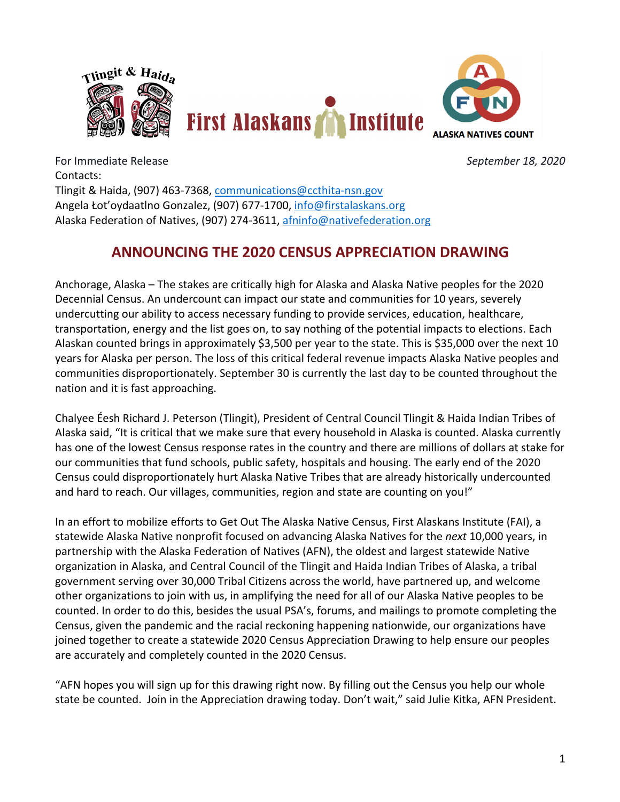

For Immediate Release *September 18, 2020* Contacts: Tlingit & Haida, (907) 463-7368, communications@ccthita-nsn.gov Angela Łot'oydaatlno Gonzalez, (907) 677-1700, info@firstalaskans.org Alaska Federation of Natives, (907) 274-3611, afninfo@nativefederation.org

## **ANNOUNCING THE 2020 CENSUS APPRECIATION DRAWING**

Anchorage, Alaska – The stakes are critically high for Alaska and Alaska Native peoples for the 2020 Decennial Census. An undercount can impact our state and communities for 10 years, severely undercutting our ability to access necessary funding to provide services, education, healthcare, transportation, energy and the list goes on, to say nothing of the potential impacts to elections. Each Alaskan counted brings in approximately \$3,500 per year to the state. This is \$35,000 over the next 10 years for Alaska per person. The loss of this critical federal revenue impacts Alaska Native peoples and communities disproportionately. September 30 is currently the last day to be counted throughout the nation and it is fast approaching.

Chalyee Éesh Richard J. Peterson (Tlingit), President of Central Council Tlingit & Haida Indian Tribes of Alaska said, "It is critical that we make sure that every household in Alaska is counted. Alaska currently has one of the lowest Census response rates in the country and there are millions of dollars at stake for our communities that fund schools, public safety, hospitals and housing. The early end of the 2020 Census could disproportionately hurt Alaska Native Tribes that are already historically undercounted and hard to reach. Our villages, communities, region and state are counting on you!"

In an effort to mobilize efforts to Get Out The Alaska Native Census, First Alaskans Institute (FAI), a statewide Alaska Native nonprofit focused on advancing Alaska Natives for the *next* 10,000 years, in partnership with the Alaska Federation of Natives (AFN), the oldest and largest statewide Native organization in Alaska, and Central Council of the Tlingit and Haida Indian Tribes of Alaska, a tribal government serving over 30,000 Tribal Citizens across the world, have partnered up, and welcome other organizations to join with us, in amplifying the need for all of our Alaska Native peoples to be counted. In order to do this, besides the usual PSA's, forums, and mailings to promote completing the Census, given the pandemic and the racial reckoning happening nationwide, our organizations have joined together to create a statewide 2020 Census Appreciation Drawing to help ensure our peoples are accurately and completely counted in the 2020 Census.

"AFN hopes you will sign up for this drawing right now. By filling out the Census you help our whole state be counted. Join in the Appreciation drawing today. Don't wait," said Julie Kitka, AFN President.